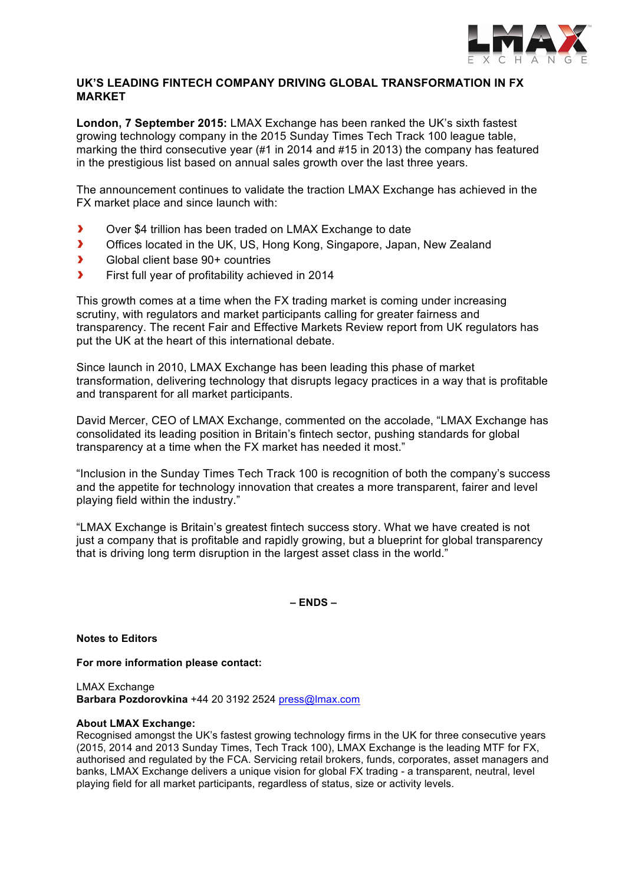

## **UK'S LEADING FINTECH COMPANY DRIVING GLOBAL TRANSFORMATION IN FX MARKET**

**London, 7 September 2015:** LMAX Exchange has been ranked the UK's sixth fastest growing technology company in the 2015 Sunday Times Tech Track 100 league table, marking the third consecutive year (#1 in 2014 and #15 in 2013) the company has featured in the prestigious list based on annual sales growth over the last three years.

The announcement continues to validate the traction LMAX Exchange has achieved in the FX market place and since launch with:

- $\overline{\phantom{a}}$ Over \$4 trillion has been traded on LMAX Exchange to date
- $\overline{\mathbf{r}}$ Offices located in the UK, US, Hong Kong, Singapore, Japan, New Zealand
- $\overline{\mathbf{z}}$ Global client base 90+ countries
- $\blacktriangleright$ First full year of profitability achieved in 2014

This growth comes at a time when the FX trading market is coming under increasing scrutiny, with regulators and market participants calling for greater fairness and transparency. The recent Fair and Effective Markets Review report from UK regulators has put the UK at the heart of this international debate.

Since launch in 2010, LMAX Exchange has been leading this phase of market transformation, delivering technology that disrupts legacy practices in a way that is profitable and transparent for all market participants.

David Mercer, CEO of LMAX Exchange, commented on the accolade, "LMAX Exchange has consolidated its leading position in Britain's fintech sector, pushing standards for global transparency at a time when the FX market has needed it most."

"Inclusion in the Sunday Times Tech Track 100 is recognition of both the company's success and the appetite for technology innovation that creates a more transparent, fairer and level playing field within the industry."

"LMAX Exchange is Britain's greatest fintech success story. What we have created is not just a company that is profitable and rapidly growing, but a blueprint for global transparency that is driving long term disruption in the largest asset class in the world."

**– ENDS –**

**Notes to Editors**

**For more information please contact:**

LMAX Exchange **Barbara Pozdorovkina** +44 20 3192 2524 press@lmax.com

## **About LMAX Exchange:**

Recognised amongst the UK's fastest growing technology firms in the UK for three consecutive years (2015, 2014 and 2013 Sunday Times, Tech Track 100), LMAX Exchange is the leading MTF for FX, authorised and regulated by the FCA. Servicing retail brokers, funds, corporates, asset managers and banks, LMAX Exchange delivers a unique vision for global FX trading - a transparent, neutral, level playing field for all market participants, regardless of status, size or activity levels.